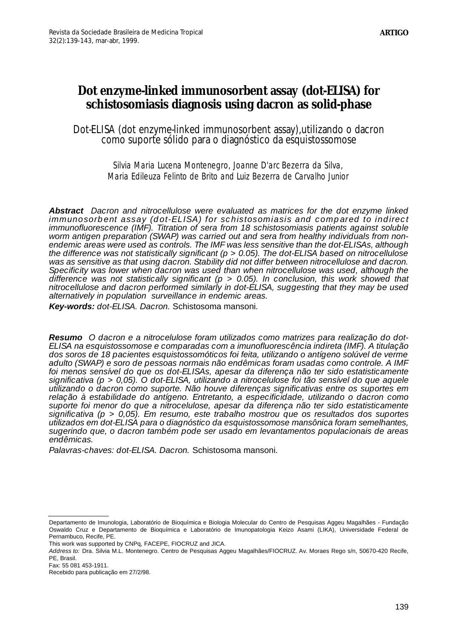# **Dot enzyme-linked immunosorbent assay (dot-ELISA) for schistosomiasis diagnosis using dacron as solid-phase**

Dot-ELISA (dot enzyme-linked immunosorbent assay),utilizando o dacron como suporte sólido para o diagnóstico da esquistossomose

## Silvia Maria Lucena Montenegro, Joanne D'arc Bezerra da Silva, Maria Edileuza Felinto de Brito and Luiz Bezerra de Carvalho Junior

**Abstract** *Dacron and nitrocellulose were evaluated as matrices for the dot enzyme linked immunosorbent assay (dot-ELISA) for schistosomiasis and compared to indirect immunofluorescence (IMF). Titration of sera from 18 schistosomiasis patients against soluble worm antigen preparation (SWAP) was carried out and sera from healthy individuals from nonendemic areas were used as controls. The IMF was less sensitive than the dot-ELISAs, although the difference was not statistically significant (p > 0.05). The dot-ELISA based on nitrocellulose was as sensitive as that using dacron. Stability did not differ between nitrocellulose and dacron. Specificity was lower when dacron was used than when nitrocellulose was used, although the difference was not statistically significant (p > 0.05). In conclusion, this work showed that nitrocellulose and dacron performed similarly in dot-ELISA, suggesting that they may be used alternatively in population surveillance in endemic areas.*

**Key-words:** *dot-ELISA. Dacron.* Schistosoma mansoni*.*

**Resumo** *O dacron e a nitrocelulose foram utilizados como matrizes para realização do dot-ELISA na esquistossomose e comparadas com a imunofluorescência indireta (IMF). A titulação dos soros de 18 pacientes esquistossomóticos foi feita, utilizando o antígeno solúvel de verme adulto (SWAP) e soro de pessoas normais não endêmicas foram usadas como controle. A IMF foi menos sensível do que os dot-ELISAs, apesar da diferença não ter sido estatisticamente significativa (p > 0,05). O dot-ELISA, utilizando a nitrocelulose foi tão sensível do que aquele utilizando o dacron como suporte. Não houve diferenças significativas entre os suportes em relação à estabilidade do antígeno. Entretanto, a especificidade, utilizando o dacron como suporte foi menor do que a nitrocelulose, apesar da diferença não ter sido estatisticamente significativa (p > 0,05). Em resumo, este trabalho mostrou que os resultados dos suportes utilizados em dot-ELISA para o diagnóstico da esquistossomose mansônica foram semelhantes, sugerindo que, o dacron também pode ser usado em levantamentos populacionais de areas endêmicas.*

*Palavras-chaves: dot-ELISA. Dacron.* Schistosoma mansoni*.*

Departamento de Imunologia, Laboratório de Bioquímica e Biologia Molecular do Centro de Pesquisas Aggeu Magalhães - Fundação Oswaldo Cruz e Departamento de Bioquímica e Laboratório de Imunopatologia Keizo Asami (LIKA), Universidade Federal de Pernambuco, Recife, PE.

This work was supported by CNPq, FACEPE, FIOCRUZ and JICA.

*Address to:* Dra. Silvia M.L. Montenegro. Centro de Pesquisas Aggeu Magalhães/FIOCRUZ. Av. Moraes Rego s/n, 50670-420 Recife, PF, Brasil.

Fax: 55 081 453-1911.

Recebido para publicação em 27/2/98.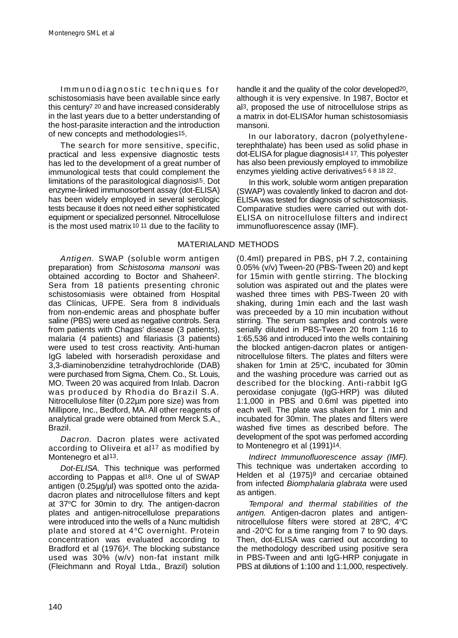Immunodiagnostic techniques for schistosomiasis have been available since early this century7 20 and have increased considerably in the last years due to a better understanding of the host-parasite interaction and the introduction of new concepts and methodologies15.

The search for more sensitive, specific, practical and less expensive diagnostic tests has led to the development of a great number of immunological tests that could complement the limitations of the parasitological diagnosis15. Dot enzyme-linked immunosorbent assay (dot-ELISA) has been widely employed in several serologic tests because it does not need either sophisticated equipment or specialized personnel. Nitrocellulose is the most used matrix<sup>10</sup><sup>11</sup> due to the facility to

Antigen. SWAP (soluble worm antigen preparation) from *Schistosoma mansoni* was obtained according to Boctor and Shaheen2. Sera from 18 patients presenting chronic schistosomiasis were obtained from Hospital das Clínicas, UFPE. Sera from 8 individuals from non-endemic areas and phosphate buffer saline (PBS) were used as negative controls. Sera from patients with Chagas' disease (3 patients), malaria (4 patients) and filariasis (3 patients) were used to test cross reactivity. Anti-human IgG labeled with horseradish peroxidase and 3,3-diaminobenzidine tetrahydrochloride (DAB) were purchased from Sigma, Chem. Co., St. Louis, MO. Tween 20 was acquired from Inlab. Dacron was produced by Rhodia do Brazil S.A. Nitrocellulose filter (0.22µm pore size) was from Millipore, Inc., Bedford, MA. All other reagents of analytical grade were obtained from Merck S.A., Brazil.

Dacron. Dacron plates were activated according to Oliveira et al<sup>17</sup> as modified by Montenegro et al<sup>13</sup>.

*Dot-ELISA.* This technique was performed according to Pappas et al18. One ul of SWAP antigen (0.25µg/µl) was spotted onto the azidadacron plates and nitrocellulose filters and kept at 37°C for 30min to dry. The antigen-dacron plates and antigen-nitrocellulose preparations were introduced into the wells of a Nunc multidish plate and stored at 4°C overnight. Protein concentration was evaluated according to Bradford et al (1976)4. The blocking substance used was 30% (w/v) non-fat instant milk (Fleichmann and Royal Ltda., Brazil) solution handle it and the quality of the color developed<sup>20</sup>, although it is very expensive. In 1987, Boctor et al3, proposed the use of nitrocellulose strips as a matrix in dot-ELISAfor human schistosomiasis mansoni.

In our laboratory, dacron (polyethyleneterephthalate) has been used as solid phase in dot-ELISA for plaque diagnosis<sup>14 17</sup>. This polyester has also been previously employed to immobilize enzymes yielding active derivatives5 6 8 18 22.

In this work, soluble worm antigen preparation (SWAP) was covalently linked to dacron and dot-ELISA was tested for diagnosis of schistosomiasis. Comparative studies were carried out with dot-ELISA on nitrocellulose filters and indirect immunofluorescence assay (IMF).

## MATERIALAND METHODS

(0.4ml) prepared in PBS, pH 7.2, containing 0.05% (v/v) Tween-20 (PBS-Tween 20) and kept for 15min with gentle stirring. The blocking solution was aspirated out and the plates were washed three times with PBS-Tween 20 with shaking, during 1min each and the last wash was preceeded by a 10 min incubation without stirring. The serum samples and controls were serially diluted in PBS-Tween 20 from 1:16 to 1:65,536 and introduced into the wells containing the blocked antigen-dacron plates or antigennitrocellulose filters. The plates and filters were shaken for 1 min at  $25^{\circ}$ C, incubated for 30 min and the washing procedure was carried out as described for the blocking. Anti-rabbit IgG peroxidase conjugate (IgG-HRP) was diluted 1:1,000 in PBS and 0.6ml was pipetted into each well. The plate was shaken for 1 min and incubated for 30min. The plates and filters were washed five times as described before. The development of the spot was perfomed according to Montenegro et al (1991)14.

*Indirect Immunofluorescence assay (IMF).* This technique was undertaken according to Helden et al (1975)<sup>9</sup> and cercariae obtained from infected *Biomphalaria glabrata* were used as antigen.

*Temporal and thermal stabilities of the* antigen. Antigen-dacron plates and antigennitrocellulose filters were stored at  $28^{\circ}$ C,  $4^{\circ}$ C and -20 $\degree$ C for a time ranging from 7 to 90 days. Then, dot-ELISA was carried out according to the methodology described using positive sera in PBS-Tween and anti IgG-HRP conjugate in PBS at dilutions of 1:100 and 1:1,000, respectively.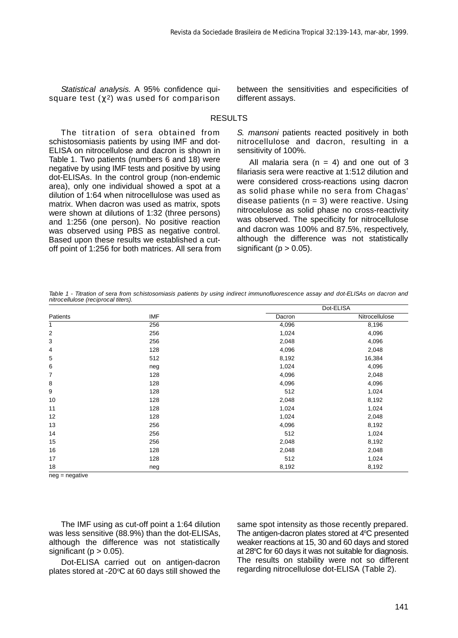*Statistical analysis.* A 95% confidence quisquare test ( 2) was used for comparison between the sensitivities and especificities of different assays.

### RESULTS

The titration of sera obtained from schistosomiasis patients by using IMF and dot-ELISA on nitrocellulose and dacron is shown in Table 1. Two patients (numbers 6 and 18) were negative by using IMF tests and positive by using dot-ELISAs. In the control group (non-endemic area), only one individual showed a spot at a dilution of 1:64 when nitrocellulose was used as matrix. When dacron was used as matrix, spots were shown at dilutions of 1:32 (three persons) and 1:256 (one person). No positive reaction was observed using PBS as negative control. Based upon these results we established a cutoff point of 1:256 for both matrices. All sera from *S. mansoni* patients reacted positively in both nitrocellulose and dacron, resulting in a sensitivity of 100%.

All malaria sera  $(n = 4)$  and one out of 3 filariasis sera were reactive at 1:512 dilution and were considered cross-reactions using dacron as solid phase while no sera from Chagas' disease patients ( $n = 3$ ) were reactive. Using nitrocelulose as solid phase no cross-reactivity was observed. The specificity for nitrocellulose and dacron was 100% and 87.5%, respectively, although the difference was not statistically significant ( $p > 0.05$ ).

*Table 1 - Titration of sera from schistosomiasis patients by using indirect immunofluorescence assay and dot-ELISAs on dacron and nitrocellulose (reciprocal titers).*

|          |            | Dot-ELISA |                |  |  |
|----------|------------|-----------|----------------|--|--|
| Patients | <b>IMF</b> | Dacron    | Nitrocellulose |  |  |
| 1        | 256        | 4,096     | 8,196          |  |  |
| 2        | 256        | 1,024     | 4,096          |  |  |
| 3        | 256        | 2,048     | 4,096          |  |  |
| 4        | 128        | 4,096     | 2,048          |  |  |
| 5        | 512        | 8,192     | 16,384         |  |  |
| 6        | neg        | 1,024     | 4,096          |  |  |
| 7        | 128        | 4,096     | 2,048          |  |  |
| 8        | 128        | 4,096     | 4,096          |  |  |
| 9        | 128        | 512       | 1,024          |  |  |
| 10       | 128        | 2,048     | 8,192          |  |  |
| 11       | 128        | 1,024     | 1,024          |  |  |
| 12       | 128        | 1,024     | 2,048          |  |  |
| 13       | 256        | 4,096     | 8,192          |  |  |
| 14       | 256        | 512       | 1,024          |  |  |
| 15       | 256        | 2,048     | 8,192          |  |  |
| 16       | 128        | 2,048     | 2,048          |  |  |
| 17       | 128        | 512       | 1,024          |  |  |
| 18       | neg        | 8,192     | 8,192          |  |  |

 $nea = ne$ ative

The IMF using as cut-off point a 1:64 dilution was less sensitive (88.9%) than the dot-ELISAs, although the difference was not statistically significant ( $p > 0.05$ ).

Dot-ELISA carried out on antigen-dacron plates stored at -20 $\degree$ C at 60 days still showed the same spot intensity as those recently prepared. The antigen-dacron plates stored at  $4^{\circ}$ C presented weaker reactions at 15, 30 and 60 days and stored at 28°C for 60 days it was not suitable for diagnosis. The results on stability were not so different regarding nitrocellulose dot-ELISA (Table 2).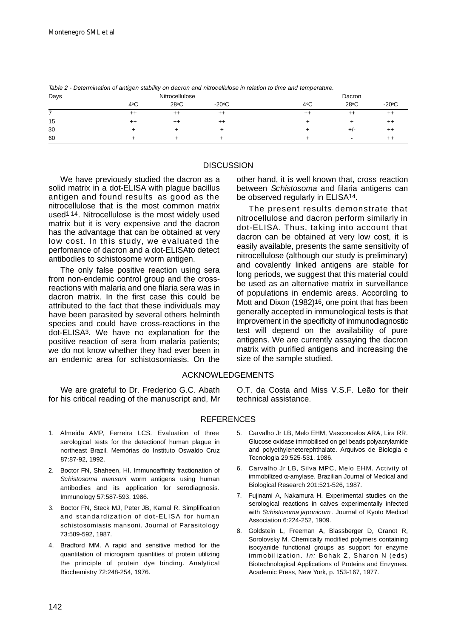| Days |               | Nitrocellulose |                 |      | Dacron         |                 |  |
|------|---------------|----------------|-----------------|------|----------------|-----------------|--|
|      | $4^{\circ}$ C | $28^{\circ}$ C | $-20^{\circ}$ C | 4°C  | $28^{\circ}$ C | $-20^{\circ}$ C |  |
|      | $^{++}$       | $^{++}$        | $^{++}$         | $++$ | $^{++}$        |                 |  |
| 15   | ┷┷            | $^{++}$        | $^{++}$         |      |                |                 |  |
| 30   |               |                |                 |      |                |                 |  |
| 60   |               |                |                 |      |                |                 |  |

*Table 2 - Determination of antigen stability on dacron and nitrocellulose in relation to time and temperature.*

#### **DISCUSSION**

We have previously studied the dacron as a solid matrix in a dot-ELISA with plague bacillus antigen and found results as good as the nitrocellulose that is the most common matrix used<sup>114</sup>. Nitrocellulose is the most widely used matrix but it is very expensive and the dacron has the advantage that can be obtained at very low cost. In this study, we evaluated the perfomance of dacron and a dot-ELISAto detect antibodies to schistosome worm antigen.

The only false positive reaction using sera from non-endemic control group and the crossreactions with malaria and one filaria sera was in dacron matrix. In the first case this could be attributed to the fact that these individuals may have been parasited by several others helminth species and could have cross-reactions in the dot-ELISA3. We have no explanation for the positive reaction of sera from malaria patients; we do not know whether they had ever been in an endemic area for schistosomiasis. On the

other hand, it is well known that, cross reaction between *Schistosoma* and filaria antigens can be observed regularly in ELISA14.

The present results demonstrate that nitrocellulose and dacron perform similarly in dot-ELISA. Thus, taking into account that dacron can be obtained at very low cost, it is easily available, presents the same sensitivity of nitrocellulose (although our study is preliminary) and covalently linked antigens are stable for long periods, we suggest that this material could be used as an alternative matrix in surveillance of populations in endemic areas. According to Mott and Dixon (1982)<sup>16</sup>, one point that has been generally accepted in immunological tests is that improvement in the specificity of immunodiagnostic test will depend on the availability of pure antigens. We are currently assaying the dacron matrix with purified antigens and increasing the size of the sample studied.

#### ACKNOWLEDGEMENTS

We are grateful to Dr. Frederico G.C. Abath for his critical reading of the manuscript and, Mr O.T. da Costa and Miss V.S.F. Leão for their technical assistance.

#### **REFERENCES**

- 1. Almeida AMP, Ferreira LCS. Evaluation of three serological tests for the detectionof human plague in northeast Brazil. Memórias do Instituto Oswaldo Cruz 87:87-92, 1992.
- 2. Boctor FN, Shaheen, HI. Immunoaffinity fractionation of *Schistosoma mansoni* worm antigens using human antibodies and its application for serodiagnosis. Immunology 57:587-593, 1986.
- 3. Boctor FN, Steck MJ, Peter JB, Kamal R. Simplification and standardization of dot-ELISA for human schistosomiasis mansoni. Journal of Parasitology 73:589-592, 1987.
- 4. Bradford MM. A rapid and sensitive method for the quantitation of microgram quantities of protein utilizing the principle of protein dye binding. Analytical Biochemistry 72:248-254, 1976.
- 5. Carvalho Jr LB, Melo EHM, Vasconcelos ARA, Lira RR. Glucose oxidase immobilised on gel beads polyacrylamide and polyethyleneterephthalate. Arquivos de Biologia e Tecnologia 29:525-531, 1986.
- 6. Carvalho Jr LB, Silva MPC, Melo EHM. Activity of immobilized -amylase. Brazilian Journal of Medical and Biological Research 201:521-526, 1987.
- 7. Fujinami A, Nakamura H. Experimental studies on the serological reactions in calves experimentally infected with *Schistosoma japonicum*. Journal of Kyoto Medical Association 6:224-252, 1909.
- 8. Goldstein L, Freeman A, Blassberger D, Granot R, Sorolovsky M. Chemically modified polymers containing isocyanide functional groups as support for enzyme immobilization. *In:* Bohak Z, Sharon N (eds) Biotechnological Applications of Proteins and Enzymes. Academic Press, New York, p. 153-167, 1977.